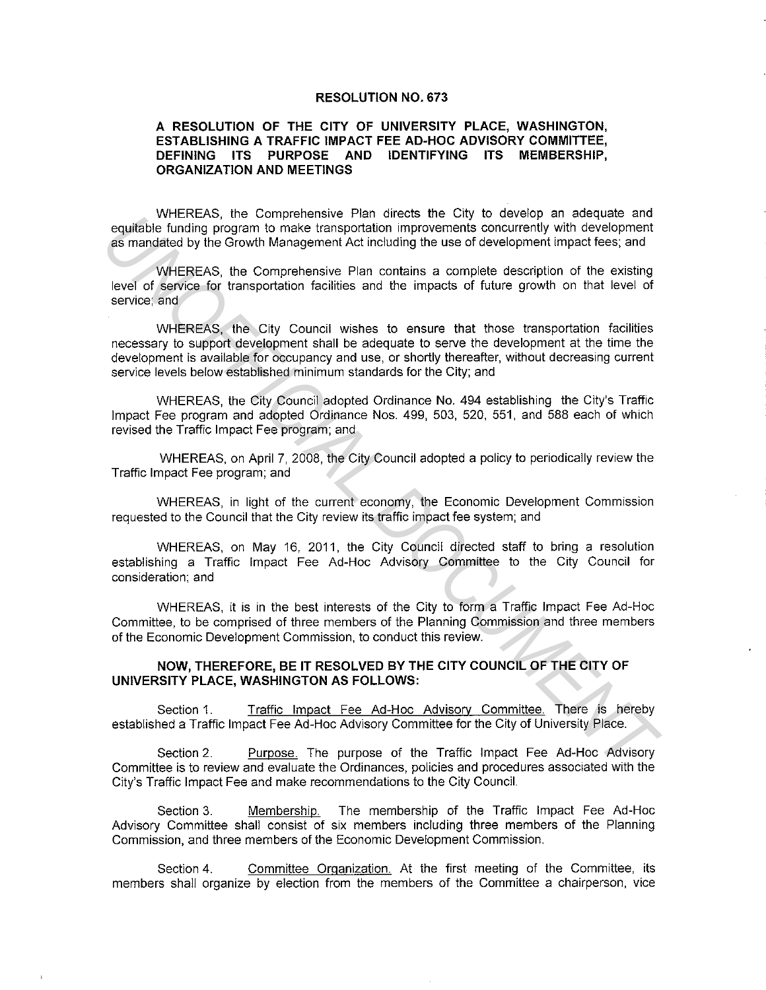## **RESOLUTION NO. 673**

## **A RESOLUTION OF THE CITY OF UNIVERSITY PLACE, WASHINGTON, ESTABLISHING A TRAFFIC IMPACT FEE AD-HOC ADVISORY COMMITTEE, DEFINING ITS PURPOSE AND IDENTIFYING ITS MEMBERSHIP, ORGANIZATION AND MEETINGS**

WHEREAS, the Comprehensive Plan directs the City to develop an adequate and equitable funding program to make transportation improvements concurrently with development as mandated by the Growth Management Act including the use of development impact fees; and

WHEREAS, the Comprehensive Plan contains a complete description of the existing level of service for transportation facilities and the impacts of future growth on that level of service; and

WHEREAS, the City Council wishes to ensure that those transportation facilities necessary to support development shall be adequate to serve the development at the time the development is available for occupancy and use, or shortly thereafter, without decreasing current service levels below established minimum standards for the City; and equitable funding program to make transportation improvements oncurrently with development<br>as mandated by the Growth Management Act including the use of development impact fees, and<br>as mandated by the Growth Management Act

WHEREAS, the City Council adopted Ordinance No. 494 establishing the City's Traffic Impact Fee program and adopted Ordinance Nos. 499, 503, 520, 551, and 588 each of which revised the Traffic Impact Fee program; and

WHEREAS, on April 7, 2008, the City Council adopted a policy to periodically review the Traffic Impact Fee program; and

WHEREAS, in light of the current economy, the Economic Development Commission requested to the Council that the City review its traffic impact fee system; and

WHEREAS, on May 16, 2011, the City Council directed staff to bring a resolution establishing a Traffic Impact Fee Ad-Hoc Advisory Committee to the City Council for consideration: and

WHEREAS, it is in the best interests of the City to form a Traffic Impact Fee Ad-Hoc Committee, to be comprised of three members of the Planning Commission and three members of the Economic Development Commission, to conduct this review.

## **NOW, THEREFORE, BE IT RESOLVED BY THE CITY COUNCIL OF THE CITY OF UNIVERSITY PLACE, WASHINGTON AS FOLLOWS:**

Section 1. Traffic Impact Fee Ad-Hoc Advisory Committee. There is hereby established a Traffic Impact Fee Ad-Hoc Advisory Committee for the City of University Place.

Section 2. Purpose. The purpose of the Traffic Impact Fee Ad-Hoc Advisory Committee is to review and evaluate the Ordinances, policies and procedures associated with the City's Traffic Impact Fee and make recommendations to the City Council.

Section 3. Membership. The membership of the Traffic Impact Fee Ad-Hoc Advisory Committee shall consist of six members including three members of the Planning Commission, and three members of the Economic Development Commission.

Section 4. Committee Organization. At the first meeting of the Committee, its members shall organize by election from the members of the Committee a chairperson, vice